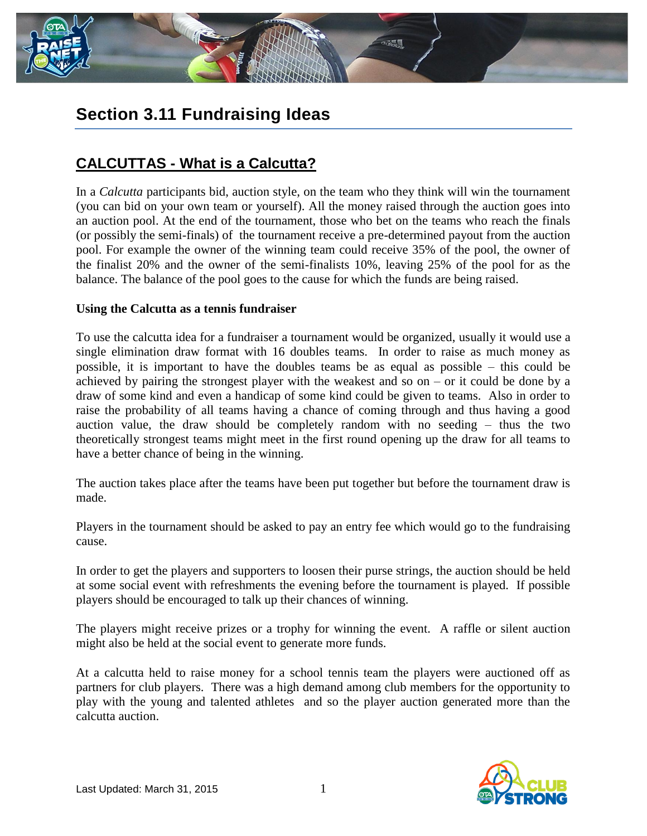

# **Section 3.11 Fundraising Ideas**

## **CALCUTTAS - What is a Calcutta?**

In a *Calcutta* participants bid, auction style, on the team who they think will win the tournament (you can bid on your own team or yourself). All the money raised through the auction goes into an auction pool. At the end of the tournament, those who bet on the teams who reach the finals (or possibly the semi-finals) of the tournament receive a pre-determined payout from the auction pool. For example the owner of the winning team could receive 35% of the pool, the owner of the finalist 20% and the owner of the semi-finalists 10%, leaving 25% of the pool for as the balance. The balance of the pool goes to the cause for which the funds are being raised.

#### **Using the Calcutta as a tennis fundraiser**

To use the calcutta idea for a fundraiser a tournament would be organized, usually it would use a single elimination draw format with 16 doubles teams. In order to raise as much money as possible, it is important to have the doubles teams be as equal as possible – this could be achieved by pairing the strongest player with the weakest and so on – or it could be done by a draw of some kind and even a handicap of some kind could be given to teams. Also in order to raise the probability of all teams having a chance of coming through and thus having a good auction value, the draw should be completely random with no seeding – thus the two theoretically strongest teams might meet in the first round opening up the draw for all teams to have a better chance of being in the winning.

The auction takes place after the teams have been put together but before the tournament draw is made.

Players in the tournament should be asked to pay an entry fee which would go to the fundraising cause.

In order to get the players and supporters to loosen their purse strings, the auction should be held at some social event with refreshments the evening before the tournament is played. If possible players should be encouraged to talk up their chances of winning.

The players might receive prizes or a trophy for winning the event. A raffle or silent auction might also be held at the social event to generate more funds.

At a calcutta held to raise money for a school tennis team the players were auctioned off as partners for club players. There was a high demand among club members for the opportunity to play with the young and talented athletes and so the player auction generated more than the calcutta auction.